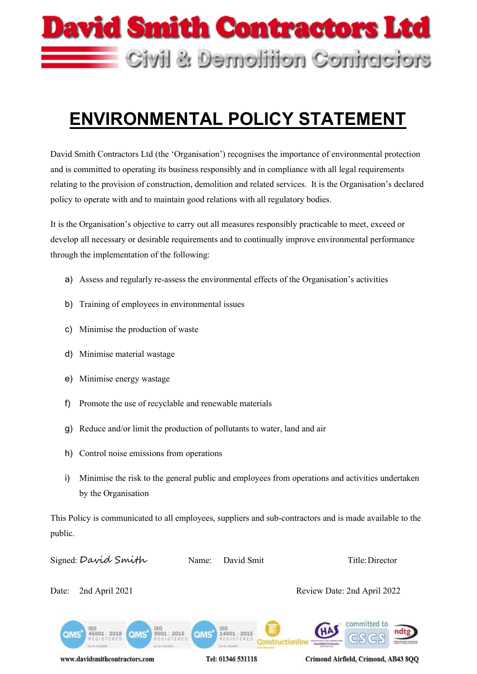

# **ENVIRONMENTAL POLICY STATEMENT**

David Smith Contractors Ltd (the 'Organisation') recognises the importance of environmental protection and is committed to operating its business responsibly and in compliance with all legal requirements relating to the provision of construction, demolition and related services. It is the Organisation's declared policy to operate with and to maintain good relations with all regulatory bodies.

It is the Organisation's objective to carry out all measures responsibly practicable to meet, exceed or develop all necessary or desirable requirements and to continually improve environmental performance through the implementation of the following:

- a) Assess and regularly re-assess the environmental effects of the Organisation's activities
- b) Training of employees in environmental issues
- c) Minimise the production of waste
- d) Minimise material wastage
- e) Minimise energy wastage
- f) Promote the use of recyclable and renewable materials
- g) Reduce and/or limit the production of pollutants to water, land and air
- h) Control noise emissions from operations
- i) Minimise the risk to the general public and employees from operations and activities undertaken by the Organisation

This Policy is communicated to all employees, suppliers and sub-contractors and is made available to the public.

Signed: David Smith Name: David Smit Title: Director Date: 2nd April 2021 Review Date: 2nd April 2022committed to 45001:2018  $9001:2015$ 14001 : 2015 QMS QMS

www.davidsmithcontractors.com

Tel: 01346 531118

Constructionline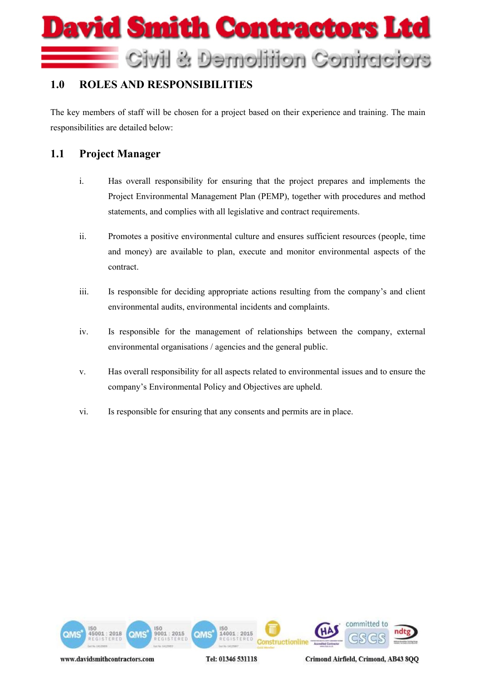# vid Smith Contractors Ltd Civil & Demolition Contractors

## **1.0 ROLES AND RESPONSIBILITIES**

The key members of staff will be chosen for a project based on their experience and training. The main responsibilities are detailed below:

### **1.1 Project Manager**

- i. Has overall responsibility for ensuring that the project prepares and implements the Project Environmental Management Plan (PEMP), together with procedures and method statements, and complies with all legislative and contract requirements.
- ii. Promotes a positive environmental culture and ensures sufficient resources (people, time and money) are available to plan, execute and monitor environmental aspects of the contract.
- iii. Is responsible for deciding appropriate actions resulting from the company's and client environmental audits, environmental incidents and complaints.
- iv. Is responsible for the management of relationships between the company, external environmental organisations / agencies and the general public.
- v. Has overall responsibility for all aspects related to environmental issues and to ensure the company's Environmental Policy and Objectives are upheld.
- vi. Is responsible for ensuring that any consents and permits are in place.



Tel: 01346 531118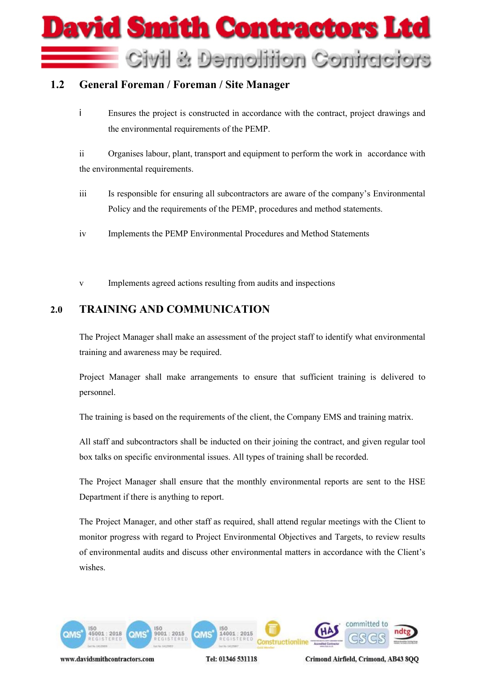

#### **1.2 General Foreman / Foreman / Site Manager**

i Ensures the project is constructed in accordance with the contract, project drawings and the environmental requirements of the PEMP.

ii Organises labour, plant, transport and equipment to perform the work in accordance with the environmental requirements.

- iii Is responsible for ensuring all subcontractors are aware of the company's Environmental Policy and the requirements of the PEMP, procedures and method statements.
- iv Implements the PEMP Environmental Procedures and Method Statements
- v Implements agreed actions resulting from audits and inspections

#### **2.0 TRAINING AND COMMUNICATION**

The Project Manager shall make an assessment of the project staff to identify what environmental training and awareness may be required.

Project Manager shall make arrangements to ensure that sufficient training is delivered to personnel.

The training is based on the requirements of the client, the Company EMS and training matrix.

All staff and subcontractors shall be inducted on their joining the contract, and given regular tool box talks on specific environmental issues. All types of training shall be recorded.

The Project Manager shall ensure that the monthly environmental reports are sent to the HSE Department if there is anything to report.

The Project Manager, and other staff as required, shall attend regular meetings with the Client to monitor progress with regard to Project Environmental Objectives and Targets, to review results of environmental audits and discuss other environmental matters in accordance with the Client's wishes.



Tel: 01346 531118